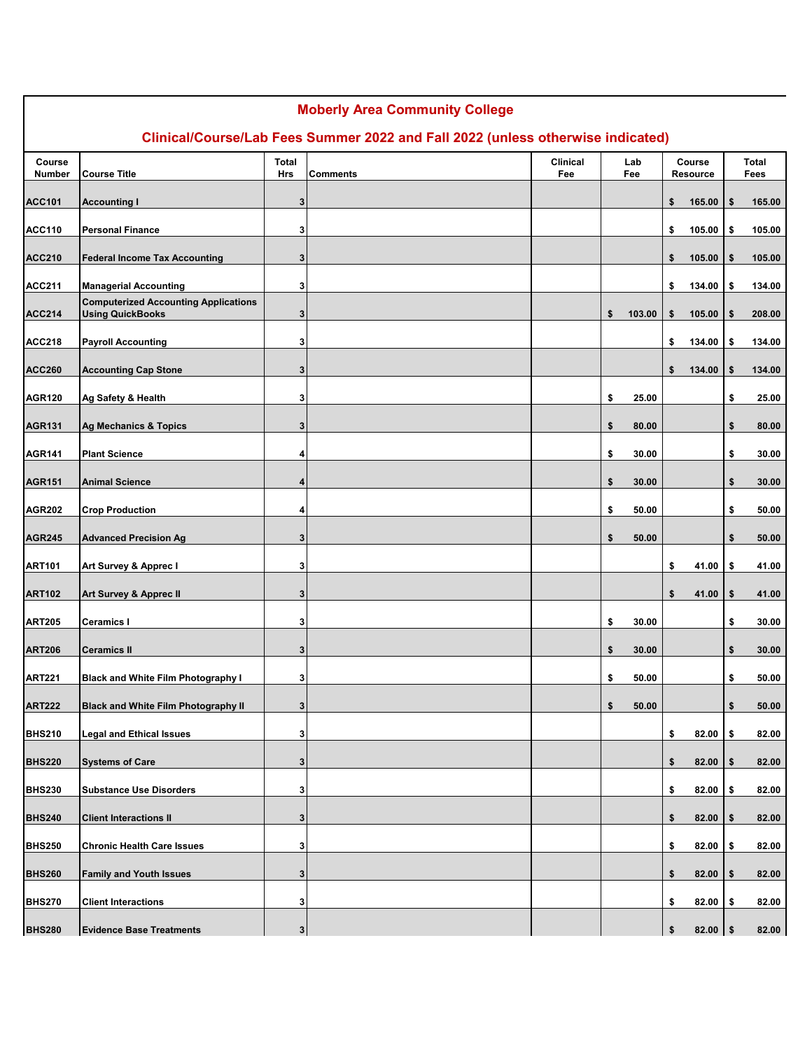| <b>Moberly Area Community College</b><br>Clinical/Course/Lab Fees Summer 2022 and Fall 2022 (unless otherwise indicated) |                                                                        |              |                        |     |    |        |    |                 |    |              |
|--------------------------------------------------------------------------------------------------------------------------|------------------------------------------------------------------------|--------------|------------------------|-----|----|--------|----|-----------------|----|--------------|
| Course                                                                                                                   |                                                                        | <b>Total</b> | <b>Clinical</b><br>Lab |     |    |        |    | Course          |    | <b>Total</b> |
| Number                                                                                                                   | <b>Course Title</b>                                                    | Hrs          | <b>Comments</b>        | Fee |    | Fee    |    | <b>Resource</b> |    | Fees         |
| <b>ACC101</b>                                                                                                            | <b>Accounting I</b>                                                    | 3            |                        |     |    |        | \$ | 165.00          | \$ | 165.00       |
| <b>ACC110</b>                                                                                                            | <b>Personal Finance</b>                                                | 3            |                        |     |    |        | \$ | 105.00          | \$ | 105.00       |
| <b>ACC210</b>                                                                                                            | <b>Federal Income Tax Accounting</b>                                   | 3            |                        |     |    |        | \$ | 105.00          | \$ | 105.00       |
| <b>ACC211</b>                                                                                                            | <b>Managerial Accounting</b>                                           | 3            |                        |     |    |        | \$ | 134.00          | \$ | 134.00       |
| <b>ACC214</b>                                                                                                            | <b>Computerized Accounting Applications</b><br><b>Using QuickBooks</b> | 3            |                        |     | \$ | 103.00 | \$ | 105.00          | \$ | 208.00       |
| <b>ACC218</b>                                                                                                            | <b>Payroll Accounting</b>                                              | 3            |                        |     |    |        | \$ | 134.00          | \$ | 134.00       |
| <b>ACC260</b>                                                                                                            | <b>Accounting Cap Stone</b>                                            | 3            |                        |     |    |        | \$ | 134.00          | \$ | 134.00       |
| <b>AGR120</b>                                                                                                            | Ag Safety & Health                                                     | 3            |                        |     | \$ | 25.00  |    |                 | \$ | 25.00        |
| <b>AGR131</b>                                                                                                            | <b>Ag Mechanics &amp; Topics</b>                                       | 3            |                        |     | \$ | 80.00  |    |                 | \$ | 80.00        |
| <b>AGR141</b>                                                                                                            | <b>Plant Science</b>                                                   | 4            |                        |     | \$ | 30.00  |    |                 | \$ | 30.00        |
| <b>AGR151</b>                                                                                                            | <b>Animal Science</b>                                                  | 4            |                        |     | \$ | 30.00  |    |                 | \$ | 30.00        |
| <b>AGR202</b>                                                                                                            | <b>Crop Production</b>                                                 | 4            |                        |     | \$ | 50.00  |    |                 | \$ | 50.00        |
| <b>AGR245</b>                                                                                                            | <b>Advanced Precision Ag</b>                                           | 3            |                        |     | \$ | 50.00  |    |                 | \$ | 50.00        |
| <b>ART101</b>                                                                                                            | Art Survey & Apprec I                                                  | 3            |                        |     |    |        | \$ | 41.00           | \$ | 41.00        |
| <b>ART102</b>                                                                                                            | Art Survey & Apprec II                                                 | 3            |                        |     |    |        | \$ | 41.00           | \$ | 41.00        |
| <b>ART205</b>                                                                                                            | Ceramics I                                                             | 3            |                        |     | \$ | 30.00  |    |                 | \$ | 30.00        |
| <b>ART206</b>                                                                                                            | Ceramics II                                                            | 3            |                        |     | \$ | 30.00  |    |                 | \$ | 30.00        |
| <b>ART221</b>                                                                                                            | <b>Black and White Film Photography I</b>                              | 3            |                        |     | \$ | 50.00  |    |                 | \$ | 50.00        |
| <b>ART222</b>                                                                                                            | <b>Black and White Film Photography II</b>                             | 3            |                        |     | \$ | 50.00  |    |                 | \$ | 50.00        |
| <b>BHS210</b>                                                                                                            | <b>Legal and Ethical Issues</b>                                        | 3            |                        |     |    |        | \$ | 82.00           | \$ | 82.00        |
| <b>BHS220</b>                                                                                                            | <b>Systems of Care</b>                                                 | 3            |                        |     |    |        | \$ | 82.00           | \$ | 82.00        |
| <b>BHS230</b>                                                                                                            | <b>Substance Use Disorders</b>                                         | 3            |                        |     |    |        | \$ | 82.00           | \$ | 82.00        |
| <b>BHS240</b>                                                                                                            | <b>Client Interactions II</b>                                          | 3            |                        |     |    |        | \$ | 82.00           | \$ | 82.00        |
| <b>BHS250</b>                                                                                                            | <b>Chronic Health Care Issues</b>                                      | 3            |                        |     |    |        | \$ | 82.00           | \$ | 82.00        |
| <b>BHS260</b>                                                                                                            | <b>Family and Youth Issues</b>                                         | 3            |                        |     |    |        | \$ | 82.00           | \$ | 82.00        |
| <b>BHS270</b>                                                                                                            | <b>Client Interactions</b>                                             | 3            |                        |     |    |        | \$ | 82.00           | \$ | 82.00        |
| <b>BHS280</b>                                                                                                            | <b>Evidence Base Treatments</b>                                        | 3            |                        |     |    |        | \$ | 82.00           | \$ | 82.00        |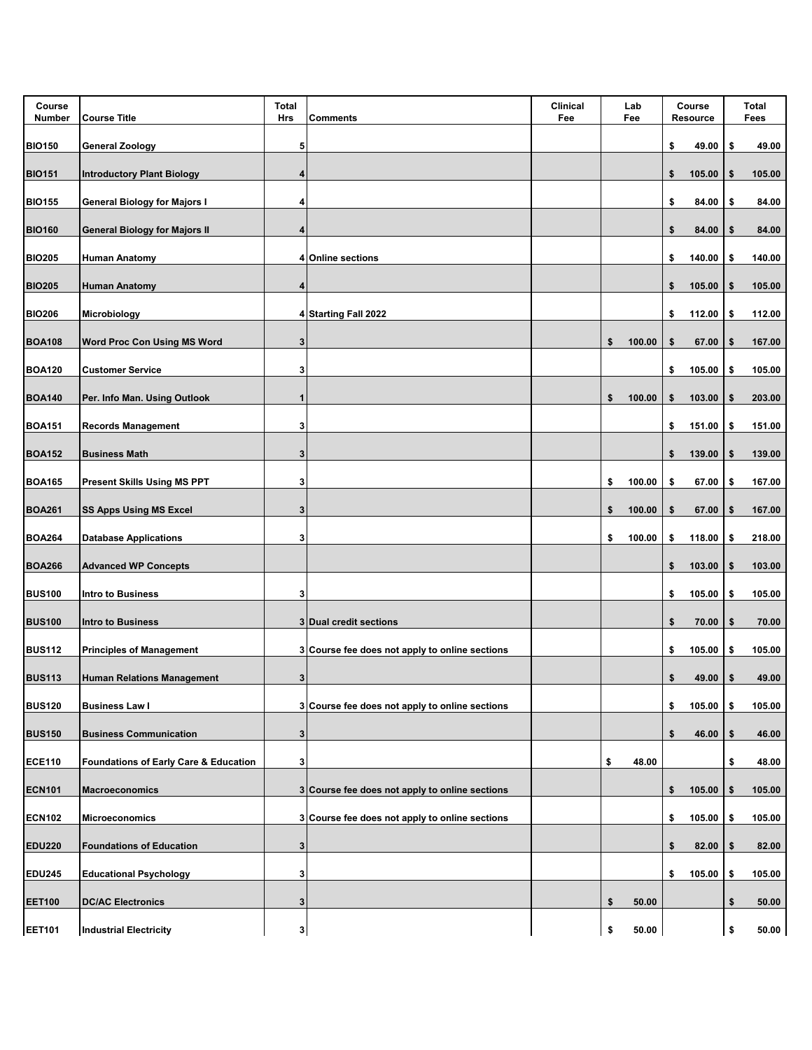| Course<br><b>Number</b> | <b>Course Title</b>                              | <b>Total</b><br>Hrs | <b>Comments</b>                                | <b>Clinical</b><br>Fee | Lab<br>Fee   | Course<br>Resource |        |     | Total<br>Fees |
|-------------------------|--------------------------------------------------|---------------------|------------------------------------------------|------------------------|--------------|--------------------|--------|-----|---------------|
| <b>BIO150</b>           | <b>General Zoology</b>                           | 5                   |                                                |                        |              | \$                 | 49.00  | \$  | 49.00         |
| <b>BIO151</b>           | <b>Introductory Plant Biology</b>                | 4                   |                                                |                        |              | \$                 | 105.00 | S   | 105.00        |
| <b>BIO155</b>           | <b>General Biology for Majors I</b>              | 4                   |                                                |                        |              | \$                 | 84.00  | \$  | 84.00         |
| <b>BIO160</b>           | <b>General Biology for Majors II</b>             | 4                   |                                                |                        |              | \$                 | 84.00  | \$  | 84.00         |
| <b>BIO205</b>           | <b>Human Anatomy</b>                             |                     | 4 Online sections                              |                        |              | \$                 | 140.00 | \$  | 140.00        |
| <b>BIO205</b>           | Human Anatomy                                    | 4                   |                                                |                        |              | \$                 | 105.00 | 5   | 105.00        |
| <b>BIO206</b>           | Microbiology                                     |                     | 4 Starting Fall 2022                           |                        |              | \$                 | 112.00 | \$  | 112.00        |
| <b>BOA108</b>           | <b>Word Proc Con Using MS Word</b>               | 3                   |                                                |                        | \$<br>100.00 | \$                 | 67.00  | \$  | 167.00        |
| <b>BOA120</b>           | <b>Customer Service</b>                          | 3                   |                                                |                        |              | \$                 | 105.00 | -\$ | 105.00        |
| <b>BOA140</b>           | Per. Info Man. Using Outlook                     | 1                   |                                                |                        | \$<br>100.00 | \$                 | 103.00 | \$  | 203.00        |
| <b>BOA151</b>           | <b>Records Management</b>                        | 3                   |                                                |                        |              | \$                 | 151.00 | \$  | 151.00        |
| <b>BOA152</b>           | <b>Business Math</b>                             | 3                   |                                                |                        |              | \$                 | 139.00 | \$  | 139.00        |
| <b>BOA165</b>           | <b>Present Skills Using MS PPT</b>               | 3                   |                                                |                        | \$<br>100.00 | \$                 | 67.00  | \$  | 167.00        |
| <b>BOA261</b>           | SS Apps Using MS Excel                           | 3                   |                                                |                        | \$<br>100.00 | \$                 | 67.00  | \$  | 167.00        |
| <b>BOA264</b>           | <b>Database Applications</b>                     | 3                   |                                                |                        | \$<br>100.00 | \$                 | 118.00 | \$  | 218.00        |
| <b>BOA266</b>           | <b>Advanced WP Concepts</b>                      |                     |                                                |                        |              | \$                 | 103.00 | \$  | 103.00        |
| <b>BUS100</b>           | Intro to Business                                | 3                   |                                                |                        |              | \$                 | 105.00 | \$  | 105.00        |
| <b>BUS100</b>           | Intro to Business                                |                     | 3 Dual credit sections                         |                        |              | \$                 | 70.00  | \$  | 70.00         |
| <b>BUS112</b>           | <b>Principles of Management</b>                  |                     | 3 Course fee does not apply to online sections |                        |              | \$                 | 105.00 | \$  | 105.00        |
| <b>BUS113</b>           | <b>Human Relations Management</b>                | 3                   |                                                |                        |              | \$                 | 49.00  | \$  | 49.00         |
| <b>BUS120</b>           | <b>Business Law I</b>                            |                     | 3 Course fee does not apply to online sections |                        |              | \$                 | 105.00 | \$  | 105.00        |
| <b>BUS150</b>           | <b>Business Communication</b>                    | 3                   |                                                |                        |              | \$                 | 46.00  | \$  | 46.00         |
| <b>ECE110</b>           | <b>Foundations of Early Care &amp; Education</b> | 3                   |                                                |                        | \$<br>48.00  |                    |        | \$  | 48.00         |
| <b>ECN101</b>           | <b>Macroeconomics</b>                            |                     | 3 Course fee does not apply to online sections |                        |              | \$                 | 105.00 | \$  | 105.00        |
| <b>ECN102</b>           | Microeconomics                                   |                     | 3 Course fee does not apply to online sections |                        |              | \$                 | 105.00 | \$  | 105.00        |
| <b>EDU220</b>           | <b>Foundations of Education</b>                  | 3                   |                                                |                        |              | \$                 | 82.00  | \$  | 82.00         |
| <b>EDU245</b>           | <b>Educational Psychology</b>                    | 3                   |                                                |                        |              | \$                 | 105.00 | \$  | 105.00        |
| <b>EET100</b>           | <b>DC/AC Electronics</b>                         | 3                   |                                                |                        | \$<br>50.00  |                    |        | \$  | 50.00         |
| <b>EET101</b>           | <b>Industrial Electricity</b>                    | 3                   |                                                |                        | \$<br>50.00  |                    |        | \$  | 50.00         |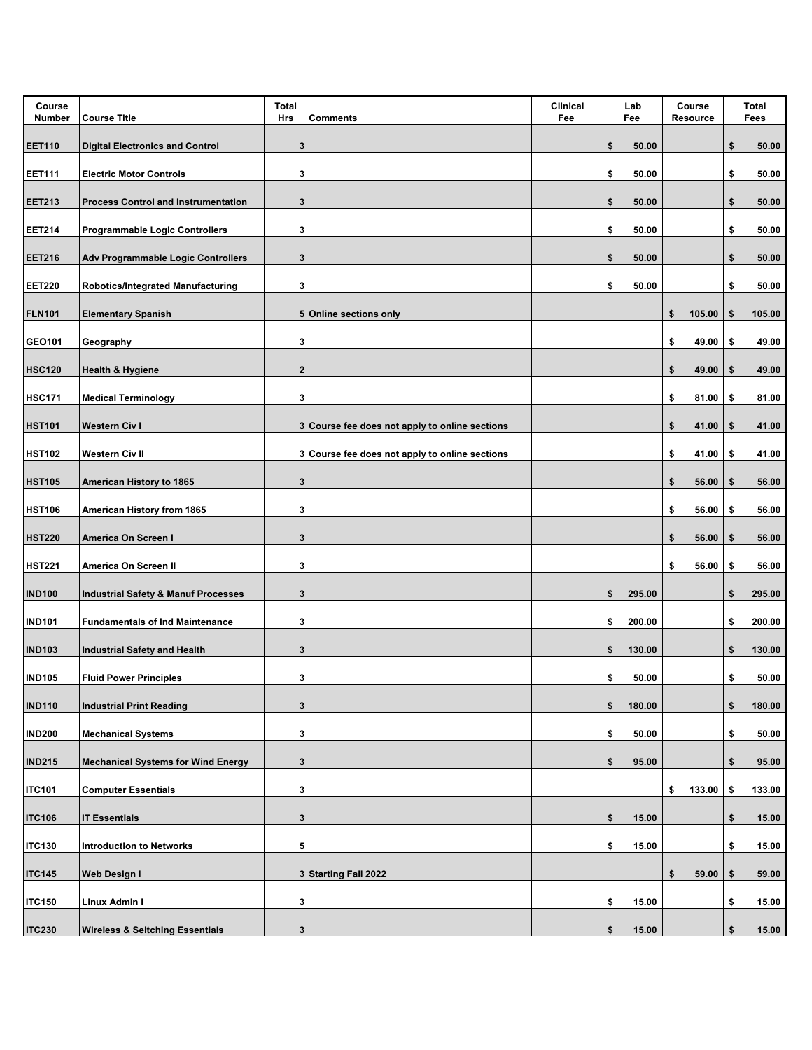| Course<br>Number | <b>Course Title</b>                            | <b>Total</b><br>Hrs | <b>Comments</b>                                | <b>Clinical</b><br>Fee | Lab<br>Fee   | Course<br>Resource |    | Total<br>Fees |
|------------------|------------------------------------------------|---------------------|------------------------------------------------|------------------------|--------------|--------------------|----|---------------|
| <b>EET110</b>    | <b>Digital Electronics and Control</b>         | 3                   |                                                |                        | \$<br>50.00  |                    | \$ | 50.00         |
| <b>EET111</b>    | <b>Electric Motor Controls</b>                 | 3                   |                                                |                        | \$<br>50.00  |                    | \$ | 50.00         |
| <b>EET213</b>    | <b>Process Control and Instrumentation</b>     | 3                   |                                                |                        | \$<br>50.00  |                    | \$ | 50.00         |
| <b>EET214</b>    | <b>Programmable Logic Controllers</b>          | 3                   |                                                |                        | \$<br>50.00  |                    | \$ | 50.00         |
| <b>EET216</b>    | <b>Adv Programmable Logic Controllers</b>      | 3                   |                                                |                        | \$<br>50.00  |                    | \$ | 50.00         |
| <b>EET220</b>    | Robotics/Integrated Manufacturing              | 3                   |                                                |                        | \$<br>50.00  |                    | \$ | 50.00         |
| <b>FLN101</b>    | <b>Elementary Spanish</b>                      |                     | 5 Online sections only                         |                        |              | \$<br>105.00       | \$ | 105.00        |
| GEO101           | Geography                                      | 3                   |                                                |                        |              | \$<br>49.00        | \$ | 49.00         |
| <b>HSC120</b>    | <b>Health &amp; Hygiene</b>                    | $\overline{2}$      |                                                |                        |              | \$<br>49.00        | \$ | 49.00         |
| <b>HSC171</b>    | <b>Medical Terminology</b>                     | 3                   |                                                |                        |              | \$<br>81.00        | \$ | 81.00         |
| <b>HST101</b>    | <b>Western Civ I</b>                           |                     | 3 Course fee does not apply to online sections |                        |              | \$<br>41.00        | \$ | 41.00         |
| <b>HST102</b>    | Western Civ II                                 |                     | 3 Course fee does not apply to online sections |                        |              | \$<br>41.00        | \$ | 41.00         |
| <b>HST105</b>    | American History to 1865                       | 3                   |                                                |                        |              | \$<br>56.00        | \$ | 56.00         |
| <b>HST106</b>    | American History from 1865                     | 3                   |                                                |                        |              | \$<br>56.00        | \$ | 56.00         |
| <b>HST220</b>    | America On Screen I                            | 3                   |                                                |                        |              | \$<br>56.00        | S  | 56.00         |
| <b>HST221</b>    | America On Screen II                           | 3                   |                                                |                        |              | \$<br>56.00        | \$ | 56.00         |
| <b>IND100</b>    | <b>Industrial Safety &amp; Manuf Processes</b> | 3                   |                                                |                        | \$<br>295.00 |                    | \$ | 295.00        |
| <b>IND101</b>    | <b>Fundamentals of Ind Maintenance</b>         | 3                   |                                                |                        | \$<br>200.00 |                    | \$ | 200.00        |
| <b>IND103</b>    | <b>Industrial Safety and Health</b>            | 3                   |                                                |                        | \$<br>130.00 |                    | \$ | 130.00        |
| <b>IND105</b>    | <b>Fluid Power Principles</b>                  | 3                   |                                                |                        | \$<br>50.00  |                    | \$ | 50.00         |
| <b>IND110</b>    | <b>Industrial Print Reading</b>                | 3                   |                                                |                        | \$<br>180.00 |                    | \$ | 180.00        |
| <b>IND200</b>    | <b>Mechanical Systems</b>                      | 3                   |                                                |                        | \$<br>50.00  |                    | \$ | 50.00         |
| <b>IND215</b>    | <b>Mechanical Systems for Wind Energy</b>      | 3                   |                                                |                        | \$<br>95.00  |                    | \$ | 95.00         |
| <b>ITC101</b>    | <b>Computer Essentials</b>                     | 3                   |                                                |                        |              | \$<br>133.00       | \$ | 133.00        |
| <b>ITC106</b>    | <b>IT Essentials</b>                           | 3                   |                                                |                        | \$<br>15.00  |                    | S  | 15.00         |
| <b>ITC130</b>    | <b>Introduction to Networks</b>                | 5                   |                                                |                        | \$<br>15.00  |                    | \$ | 15.00         |
| <b>ITC145</b>    | <b>Web Design I</b>                            |                     | 3 Starting Fall 2022                           |                        |              | \$<br>59.00        | \$ | 59.00         |
| <b>ITC150</b>    | Linux Admin I                                  | 3                   |                                                |                        | \$<br>15.00  |                    | \$ | 15.00         |
| <b>ITC230</b>    | <b>Wireless &amp; Seitching Essentials</b>     | $\mathbf 3$         |                                                |                        | \$<br>15.00  |                    | \$ | 15.00         |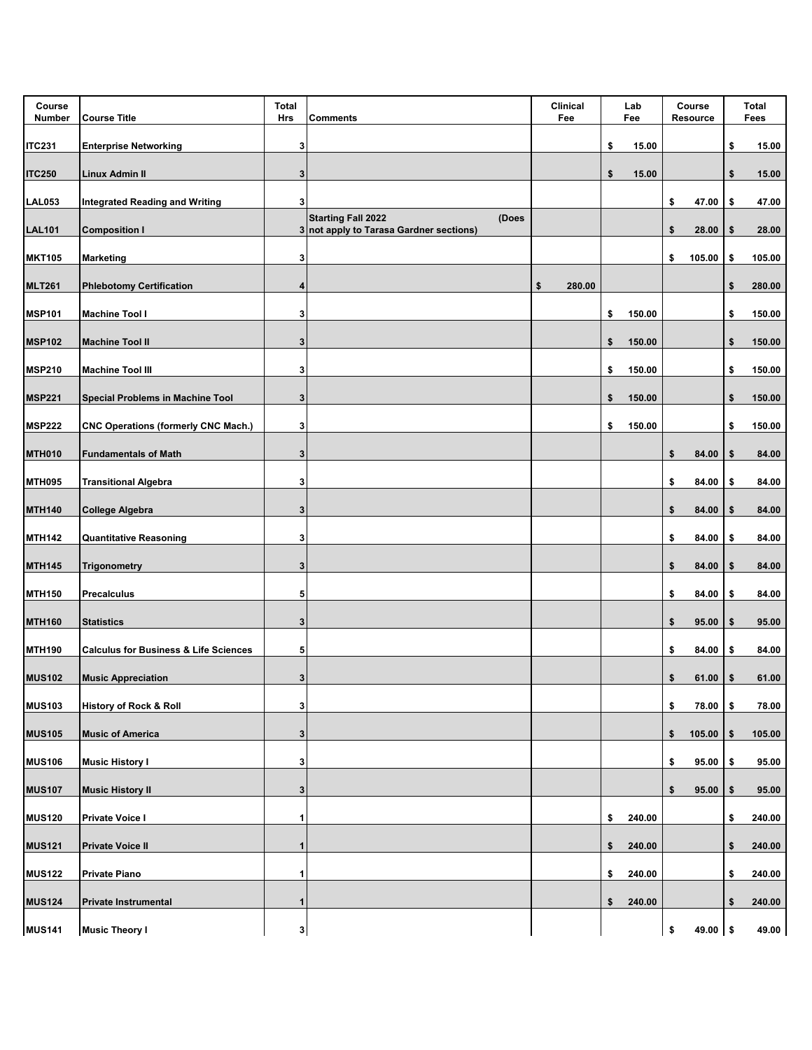| Course<br>Number | <b>Course Title</b>                              | <b>Total</b><br>Hrs | <b>Comments</b>                                                               | Clinical<br>Fee | Lab<br>Fee   | Course<br>Resource | <b>Total</b><br>Fees |
|------------------|--------------------------------------------------|---------------------|-------------------------------------------------------------------------------|-----------------|--------------|--------------------|----------------------|
| <b>ITC231</b>    | <b>Enterprise Networking</b>                     | 3                   |                                                                               |                 | \$<br>15.00  |                    | \$<br>15.00          |
| <b>ITC250</b>    | Linux Admin II                                   | 3                   |                                                                               |                 | \$<br>15.00  |                    | \$<br>15.00          |
| <b>LAL053</b>    | <b>Integrated Reading and Writing</b>            | 3 <sup>1</sup>      |                                                                               |                 |              | \$<br>47.00        | \$<br>47.00          |
| <b>LAL101</b>    | <b>Composition I</b>                             |                     | <b>Starting Fall 2022</b><br>(Does<br>3 not apply to Tarasa Gardner sections) |                 |              | \$<br>28.00        | \$<br>28.00          |
| <b>MKT105</b>    | <b>Marketing</b>                                 | 3                   |                                                                               |                 |              | \$<br>105.00       | \$<br>105.00         |
| <b>MLT261</b>    | <b>Phlebotomy Certification</b>                  | 4                   |                                                                               | \$<br>280.00    |              |                    | \$<br>280.00         |
| <b>MSP101</b>    | <b>Machine Tool I</b>                            | 3                   |                                                                               |                 | \$<br>150.00 |                    | \$<br>150.00         |
| <b>MSP102</b>    | <b>Machine Tool II</b>                           | 3                   |                                                                               |                 | \$<br>150.00 |                    | \$<br>150.00         |
| <b>MSP210</b>    | <b>Machine Tool III</b>                          | 3                   |                                                                               |                 | \$<br>150.00 |                    | \$<br>150.00         |
| <b>MSP221</b>    | <b>Special Problems in Machine Tool</b>          | 3                   |                                                                               |                 | \$<br>150.00 |                    | \$<br>150.00         |
| <b>MSP222</b>    | <b>CNC Operations (formerly CNC Mach.)</b>       | 3                   |                                                                               |                 | \$<br>150.00 |                    | \$<br>150.00         |
| <b>MTH010</b>    | <b>Fundamentals of Math</b>                      | 3                   |                                                                               |                 |              | \$<br>84.00        | \$<br>84.00          |
| <b>MTH095</b>    | <b>Transitional Algebra</b>                      | 3                   |                                                                               |                 |              | \$<br>84.00        | \$<br>84.00          |
| <b>MTH140</b>    | <b>College Algebra</b>                           | 3                   |                                                                               |                 |              | \$<br>84.00        | \$<br>84.00          |
| <b>MTH142</b>    | <b>Quantitative Reasoning</b>                    | 3                   |                                                                               |                 |              | \$<br>84.00        | \$<br>84.00          |
| <b>MTH145</b>    | <b>Trigonometry</b>                              | 3                   |                                                                               |                 |              | \$<br>84.00        | \$<br>84.00          |
| <b>MTH150</b>    | Precalculus                                      | 5                   |                                                                               |                 |              | \$<br>84.00        | \$<br>84.00          |
| <b>MTH160</b>    | <b>Statistics</b>                                | 3                   |                                                                               |                 |              | \$<br>95.00        | \$<br>95.00          |
| <b>MTH190</b>    | <b>Calculus for Business &amp; Life Sciences</b> | 5                   |                                                                               |                 |              | \$<br>84.00        | \$<br>84.00          |
| <b>MUS102</b>    | <b>Music Appreciation</b>                        | 3                   |                                                                               |                 |              | \$<br>61.00        | \$<br>61.00          |
| <b>MUS103</b>    | <b>History of Rock &amp; Roll</b>                | 3                   |                                                                               |                 |              | \$<br>78.00        | \$<br>78.00          |
| <b>MUS105</b>    | <b>Music of America</b>                          | 3                   |                                                                               |                 |              | \$<br>105.00       | \$<br>105.00         |
| <b>MUS106</b>    | <b>Music History I</b>                           | 3                   |                                                                               |                 |              | \$<br>95.00        | \$<br>95.00          |
| <b>MUS107</b>    | <b>Music History II</b>                          | 3                   |                                                                               |                 |              | \$<br>95.00        | \$<br>95.00          |
| <b>MUS120</b>    | <b>Private Voice I</b>                           | 1                   |                                                                               |                 | \$<br>240.00 |                    | \$<br>240.00         |
| <b>MUS121</b>    | <b>Private Voice II</b>                          | 1                   |                                                                               |                 | \$<br>240.00 |                    | \$<br>240.00         |
| <b>MUS122</b>    | <b>Private Piano</b>                             | 1                   |                                                                               |                 | \$<br>240.00 |                    | \$<br>240.00         |
| <b>MUS124</b>    | <b>Private Instrumental</b>                      | 1                   |                                                                               |                 | \$<br>240.00 |                    | \$<br>240.00         |
| <b>MUS141</b>    | <b>Music Theory I</b>                            | 3                   |                                                                               |                 |              | \$<br>49.00 \$     | 49.00                |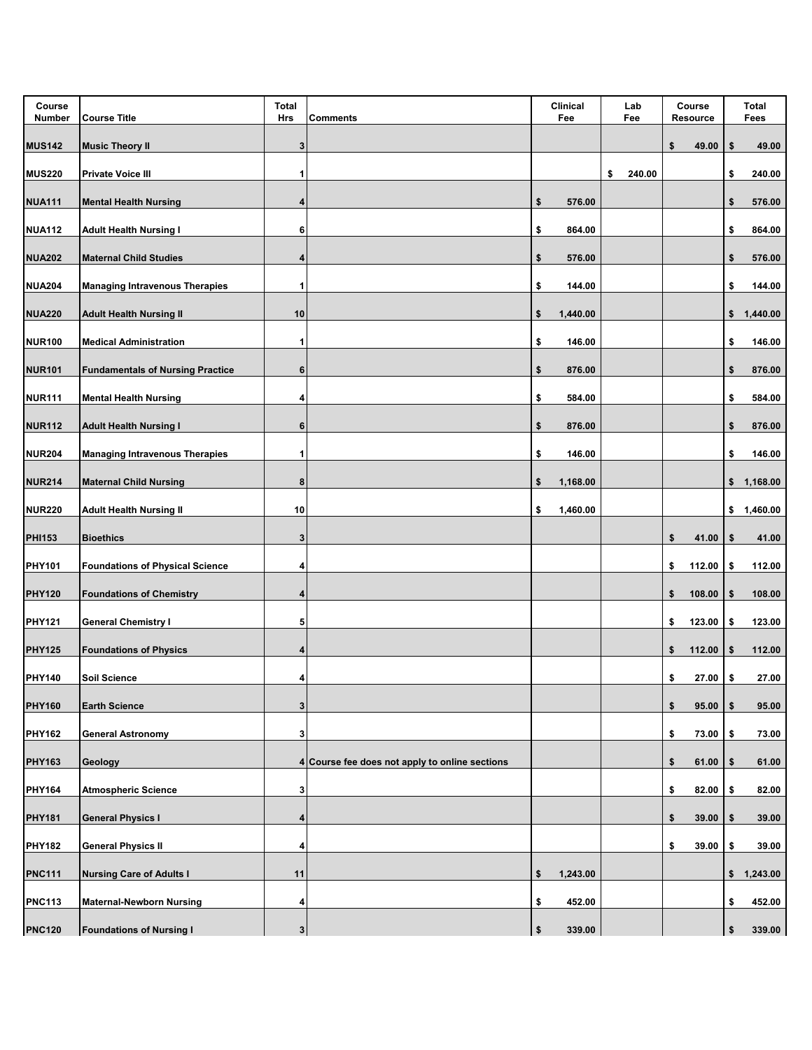| Course<br>Number | <b>Course Title</b>                     | <b>Total</b><br>Hrs | <b>Comments</b>                                | Clinical<br>Lab<br>Fee<br>Fee |    |        | Course<br>Resource |        | Total<br>Fees |            |
|------------------|-----------------------------------------|---------------------|------------------------------------------------|-------------------------------|----|--------|--------------------|--------|---------------|------------|
| <b>MUS142</b>    | <b>Music Theory II</b>                  | 3                   |                                                |                               |    |        | \$                 | 49.00  | \$            | 49.00      |
| <b>MUS220</b>    | <b>Private Voice III</b>                | 1                   |                                                |                               | \$ | 240.00 |                    |        | \$            | 240.00     |
| <b>NUA111</b>    | <b>Mental Health Nursing</b>            | 4                   |                                                | \$<br>576.00                  |    |        |                    |        | \$            | 576.00     |
| <b>NUA112</b>    | <b>Adult Health Nursing I</b>           | 6                   |                                                | \$<br>864.00                  |    |        |                    |        | \$            | 864.00     |
| <b>NUA202</b>    | <b>Maternal Child Studies</b>           | 4                   |                                                | \$<br>576.00                  |    |        |                    |        | \$            | 576.00     |
| <b>NUA204</b>    | <b>Managing Intravenous Therapies</b>   | 1                   |                                                | \$<br>144.00                  |    |        |                    |        | \$            | 144.00     |
| <b>NUA220</b>    | <b>Adult Health Nursing II</b>          | 10                  |                                                | \$<br>1,440.00                |    |        |                    |        | \$            | 1,440.00   |
| <b>NUR100</b>    | <b>Medical Administration</b>           | 1                   |                                                | \$<br>146.00                  |    |        |                    |        | \$            | 146.00     |
| <b>NUR101</b>    | <b>Fundamentals of Nursing Practice</b> | 6                   |                                                | \$<br>876.00                  |    |        |                    |        | \$            | 876.00     |
| <b>NUR111</b>    | <b>Mental Health Nursing</b>            | 4                   |                                                | \$<br>584.00                  |    |        |                    |        | \$            | 584.00     |
| <b>NUR112</b>    | <b>Adult Health Nursing I</b>           | 6                   |                                                | \$<br>876.00                  |    |        |                    |        | \$            | 876.00     |
| <b>NUR204</b>    | <b>Managing Intravenous Therapies</b>   | 1                   |                                                | \$<br>146.00                  |    |        |                    |        | \$            | 146.00     |
| <b>NUR214</b>    | <b>Maternal Child Nursing</b>           | 8                   |                                                | \$<br>1,168.00                |    |        |                    |        | \$            | 1,168.00   |
| <b>NUR220</b>    | <b>Adult Health Nursing II</b>          | 10                  |                                                | \$<br>1,460.00                |    |        |                    |        |               | \$1,460.00 |
| <b>PHI153</b>    | <b>Bioethics</b>                        | 3                   |                                                |                               |    |        | \$                 | 41.00  | \$            | 41.00      |
| <b>PHY101</b>    | <b>Foundations of Physical Science</b>  | 4                   |                                                |                               |    |        | \$                 | 112.00 | \$            | 112.00     |
| <b>PHY120</b>    | <b>Foundations of Chemistry</b>         | 4                   |                                                |                               |    |        | \$                 | 108.00 | \$            | 108.00     |
| <b>PHY121</b>    | <b>General Chemistry I</b>              | 5                   |                                                |                               |    |        | \$                 | 123.00 | \$            | 123.00     |
| <b>PHY125</b>    | <b>Foundations of Physics</b>           | 4                   |                                                |                               |    |        | \$                 | 112.00 | \$            | 112.00     |
| <b>PHY140</b>    | <b>Soil Science</b>                     | 4                   |                                                |                               |    |        | \$                 | 27.00  | \$            | 27.00      |
| <b>PHY160</b>    | <b>Earth Science</b>                    | 3                   |                                                |                               |    |        | \$                 | 95.00  | \$            | 95.00      |
| <b>PHY162</b>    | <b>General Astronomy</b>                | 3                   |                                                |                               |    |        | \$                 | 73.00  | \$            | 73.00      |
| <b>PHY163</b>    | Geology                                 |                     | 4 Course fee does not apply to online sections |                               |    |        | \$                 | 61.00  | \$            | 61.00      |
| <b>PHY164</b>    | <b>Atmospheric Science</b>              | 3                   |                                                |                               |    |        | \$                 | 82.00  | \$            | 82.00      |
| <b>PHY181</b>    | <b>General Physics I</b>                | 4                   |                                                |                               |    |        | \$                 | 39.00  | \$            | 39.00      |
| <b>PHY182</b>    | <b>General Physics II</b>               | 4                   |                                                |                               |    |        | \$                 | 39.00  | \$            | 39.00      |
| <b>PNC111</b>    | <b>Nursing Care of Adults I</b>         | 11                  |                                                | \$<br>1,243.00                |    |        |                    |        | \$            | 1,243.00   |
| <b>PNC113</b>    | <b>Maternal-Newborn Nursing</b>         | 4                   |                                                | \$<br>452.00                  |    |        |                    |        | \$            | 452.00     |
| <b>PNC120</b>    | <b>Foundations of Nursing I</b>         | $\mathbf{3}$        |                                                | \$<br>339.00                  |    |        |                    |        | \$            | 339.00     |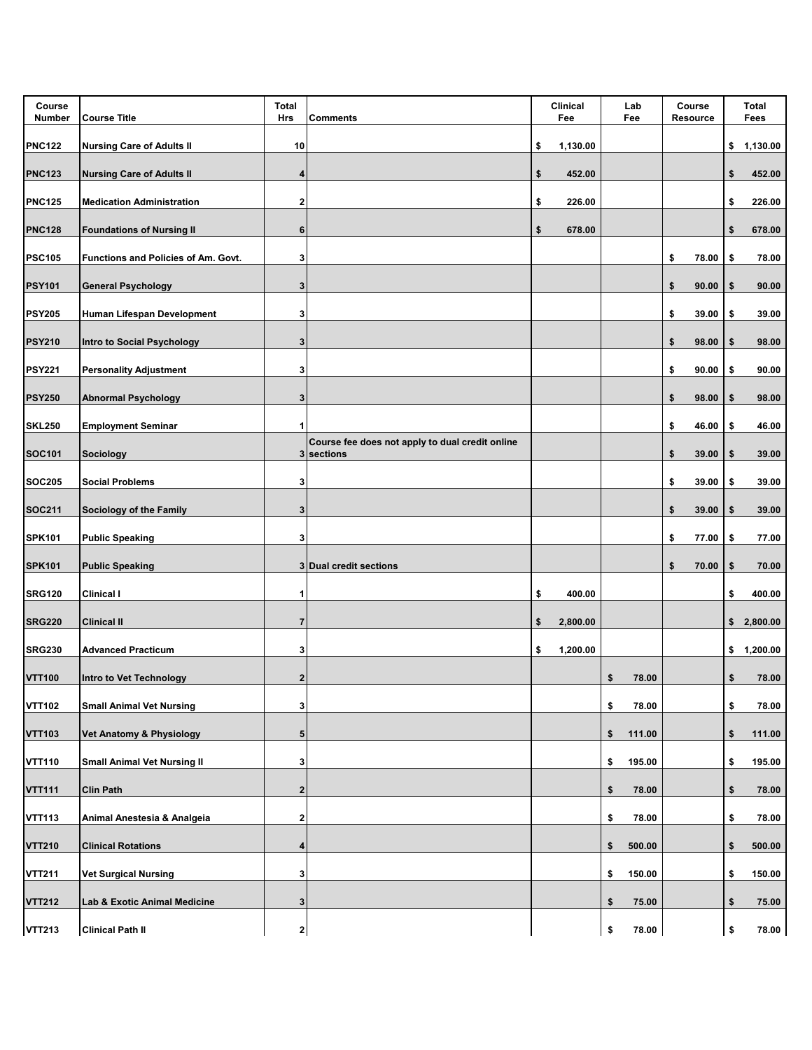| Course<br>Number | <b>Course Title</b>                 | <b>Total</b><br>Hrs     | <b>Comments</b>                                               | Clinical<br>Fee |          | Lab<br>Course<br>Fee<br>Resource |    |       |    | Total<br>Fees |
|------------------|-------------------------------------|-------------------------|---------------------------------------------------------------|-----------------|----------|----------------------------------|----|-------|----|---------------|
| <b>PNC122</b>    | <b>Nursing Care of Adults II</b>    | 10                      |                                                               | \$              | 1,130.00 |                                  |    |       | \$ | 1,130.00      |
| <b>PNC123</b>    | <b>Nursing Care of Adults II</b>    | 4                       |                                                               | \$              | 452.00   |                                  |    |       | \$ | 452.00        |
| <b>PNC125</b>    | <b>Medication Administration</b>    | 2                       |                                                               | \$              | 226.00   |                                  |    |       | \$ | 226.00        |
| <b>PNC128</b>    | <b>Foundations of Nursing II</b>    | 6                       |                                                               | \$              | 678.00   |                                  |    |       | \$ | 678.00        |
| <b>PSC105</b>    | Functions and Policies of Am. Govt. | 3                       |                                                               |                 |          |                                  | \$ | 78.00 | \$ | 78.00         |
| <b>PSY101</b>    | <b>General Psychology</b>           | 3                       |                                                               |                 |          |                                  | \$ | 90.00 | S  | 90.00         |
| <b>PSY205</b>    | Human Lifespan Development          | 3                       |                                                               |                 |          |                                  | \$ | 39.00 | \$ | 39.00         |
| <b>PSY210</b>    | Intro to Social Psychology          | 3                       |                                                               |                 |          |                                  | \$ | 98.00 | \$ | 98.00         |
| <b>PSY221</b>    | <b>Personality Adjustment</b>       | 3                       |                                                               |                 |          |                                  | \$ | 90.00 | \$ | 90.00         |
| <b>PSY250</b>    | <b>Abnormal Psychology</b>          | 3                       |                                                               |                 |          |                                  | \$ | 98.00 | \$ | 98.00         |
| <b>SKL250</b>    | <b>Employment Seminar</b>           | 1                       |                                                               |                 |          |                                  | \$ | 46.00 | \$ | 46.00         |
| <b>SOC101</b>    | <b>Sociology</b>                    |                         | Course fee does not apply to dual credit online<br>3 sections |                 |          |                                  | \$ | 39.00 | \$ | 39.00         |
| <b>SOC205</b>    | <b>Social Problems</b>              | 3                       |                                                               |                 |          |                                  | \$ | 39.00 | \$ | 39.00         |
| <b>SOC211</b>    | <b>Sociology of the Family</b>      | 3                       |                                                               |                 |          |                                  | \$ | 39.00 | \$ | 39.00         |
| <b>SPK101</b>    | <b>Public Speaking</b>              | 3                       |                                                               |                 |          |                                  | \$ | 77.00 | \$ | 77.00         |
| <b>SPK101</b>    | <b>Public Speaking</b>              |                         | 3 Dual credit sections                                        |                 |          |                                  | \$ | 70.00 | \$ | 70.00         |
| <b>SRG120</b>    | Clinical I                          | 1                       |                                                               | \$              | 400.00   |                                  |    |       | \$ | 400.00        |
| <b>SRG220</b>    | <b>Clinical II</b>                  | 7                       |                                                               | \$              | 2,800.00 |                                  |    |       |    | \$2,800.00    |
| <b>SRG230</b>    | <b>Advanced Practicum</b>           | 3                       |                                                               | \$              | 1,200.00 |                                  |    |       | \$ | 1,200.00      |
| <b>VTT100</b>    | Intro to Vet Technology             | $\mathbf{2}$            |                                                               |                 |          | \$<br>78.00                      |    |       | \$ | 78.00         |
| <b>VTT102</b>    | <b>Small Animal Vet Nursing</b>     | 3                       |                                                               |                 |          | \$<br>78.00                      |    |       | \$ | 78.00         |
| <b>VTT103</b>    | Vet Anatomy & Physiology            | 5                       |                                                               |                 |          | \$<br>111.00                     |    |       | \$ | 111.00        |
| <b>VTT110</b>    | <b>Small Animal Vet Nursing II</b>  | 3                       |                                                               |                 |          | \$<br>195.00                     |    |       | \$ | 195.00        |
| <b>VTT111</b>    | <b>Clin Path</b>                    | $\overline{\mathbf{2}}$ |                                                               |                 |          | \$<br>78.00                      |    |       | \$ | 78.00         |
| <b>VTT113</b>    | Animal Anestesia & Analgeia         | 2                       |                                                               |                 |          | \$<br>78.00                      |    |       | \$ | 78.00         |
| <b>VTT210</b>    | <b>Clinical Rotations</b>           | 4                       |                                                               |                 |          | \$<br>500.00                     |    |       | \$ | 500.00        |
| <b>VTT211</b>    | <b>Vet Surgical Nursing</b>         | 3                       |                                                               |                 |          | \$<br>150.00                     |    |       | \$ | 150.00        |
| <b>VTT212</b>    | Lab & Exotic Animal Medicine        | 3                       |                                                               |                 |          | \$<br>75.00                      |    |       | \$ | 75.00         |
| <b>VTT213</b>    | <b>Clinical Path II</b>             | $\mathbf{2}$            |                                                               |                 |          | \$<br>78.00                      |    |       | \$ | 78.00         |